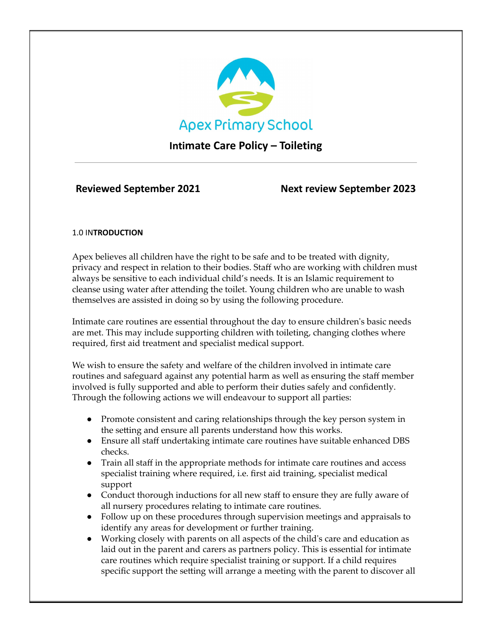

## **Intimate Care Policy – Toileting**

**Reviewed September 2021 Next review September 2023**

## 1.0 IN**TRODUCTION**

Apex believes all children have the right to be safe and to be treated with dignity, privacy and respect in relation to their bodies. Staff who are working with children must always be sensitive to each individual child's needs. It is an Islamic requirement to cleanse using water after attending the toilet. Young children who are unable to wash themselves are assisted in doing so by using the following procedure.

Intimate care routines are essential throughout the day to ensure children's basic needs are met. This may include supporting children with toileting, changing clothes where required, first aid treatment and specialist medical support.

We wish to ensure the safety and welfare of the children involved in intimate care routines and safeguard against any potential harm as well as ensuring the staff member involved is fully supported and able to perform their duties safely and confidently. Through the following actions we will endeavour to support all parties:

- Promote consistent and caring relationships through the key person system in the setting and ensure all parents understand how this works.
- Ensure all staff undertaking intimate care routines have suitable enhanced DBS checks.
- Train all staff in the appropriate methods for intimate care routines and access specialist training where required, i.e. first aid training, specialist medical support
- Conduct thorough inductions for all new staff to ensure they are fully aware of all nursery procedures relating to intimate care routines.
- Follow up on these procedures through supervision meetings and appraisals to identify any areas for development or further training.
- Working closely with parents on all aspects of the child's care and education as laid out in the parent and carers as partners policy. This is essential for intimate care routines which require specialist training or support. If a child requires specific support the setting will arrange a meeting with the parent to discover all